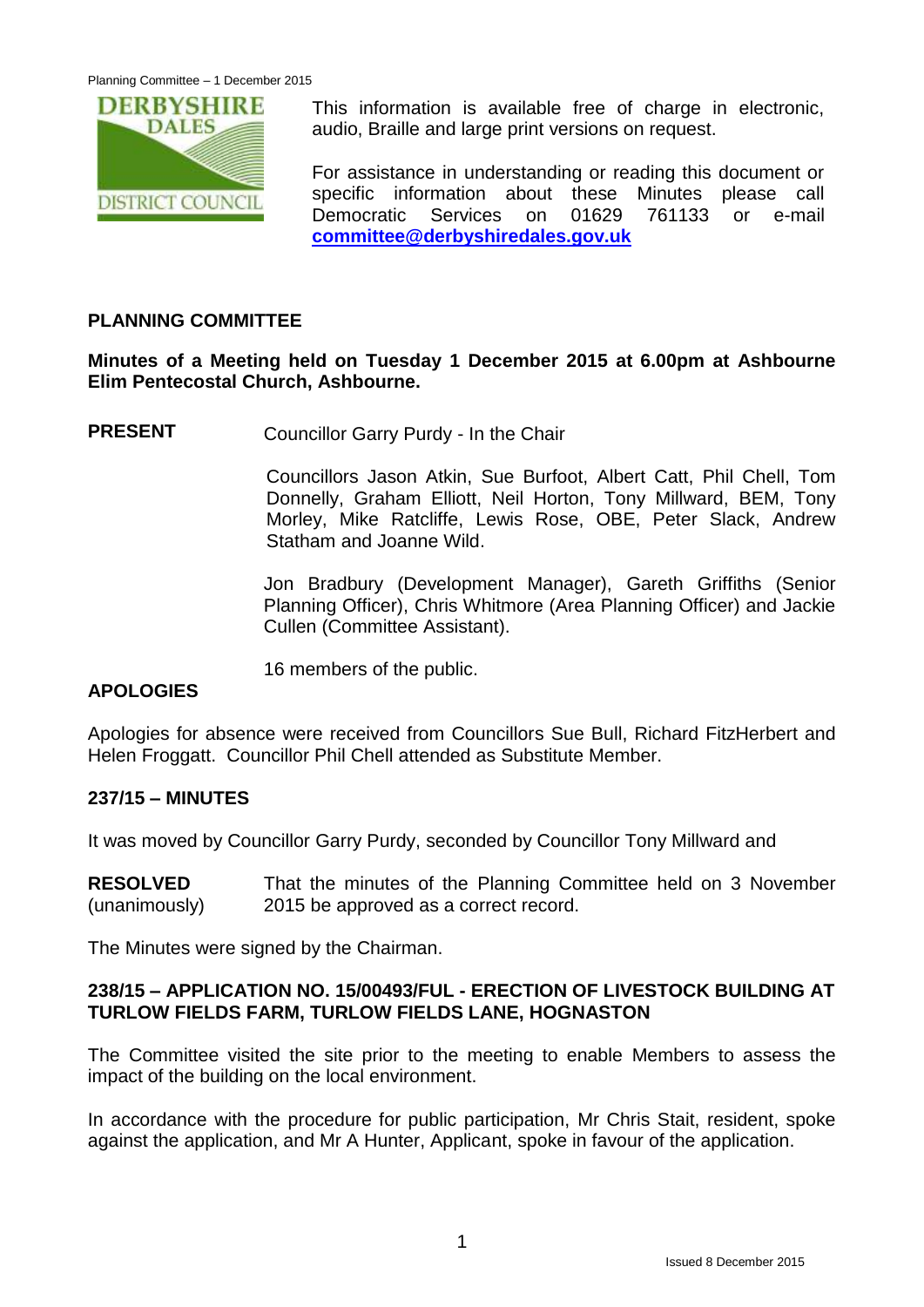

This information is available free of charge in electronic, audio, Braille and large print versions on request.

For assistance in understanding or reading this document or specific information about these Minutes please call Democratic Services on 01629 761133 or e-mail **[committee@derbyshiredales.gov.uk](mailto:committee@derbyshiredales.gov.uk)**

## **PLANNING COMMITTEE**

## **Minutes of a Meeting held on Tuesday 1 December 2015 at 6.00pm at Ashbourne Elim Pentecostal Church, Ashbourne.**

**PRESENT** Councillor Garry Purdy - In the Chair

Councillors Jason Atkin, Sue Burfoot, Albert Catt, Phil Chell, Tom Donnelly, Graham Elliott, Neil Horton, Tony Millward, BEM, Tony Morley, Mike Ratcliffe, Lewis Rose, OBE, Peter Slack, Andrew Statham and Joanne Wild.

Jon Bradbury (Development Manager), Gareth Griffiths (Senior Planning Officer), Chris Whitmore (Area Planning Officer) and Jackie Cullen (Committee Assistant).

16 members of the public.

# **APOLOGIES**

Apologies for absence were received from Councillors Sue Bull, Richard FitzHerbert and Helen Froggatt. Councillor Phil Chell attended as Substitute Member.

### **237/15 – MINUTES**

It was moved by Councillor Garry Purdy, seconded by Councillor Tony Millward and

**RESOLVED** (unanimously) That the minutes of the Planning Committee held on 3 November 2015 be approved as a correct record.

The Minutes were signed by the Chairman.

### **238/15 – APPLICATION NO. 15/00493/FUL - ERECTION OF LIVESTOCK BUILDING AT TURLOW FIELDS FARM, TURLOW FIELDS LANE, HOGNASTON**

The Committee visited the site prior to the meeting to enable Members to assess the impact of the building on the local environment.

In accordance with the procedure for public participation, Mr Chris Stait, resident, spoke against the application, and Mr A Hunter, Applicant, spoke in favour of the application.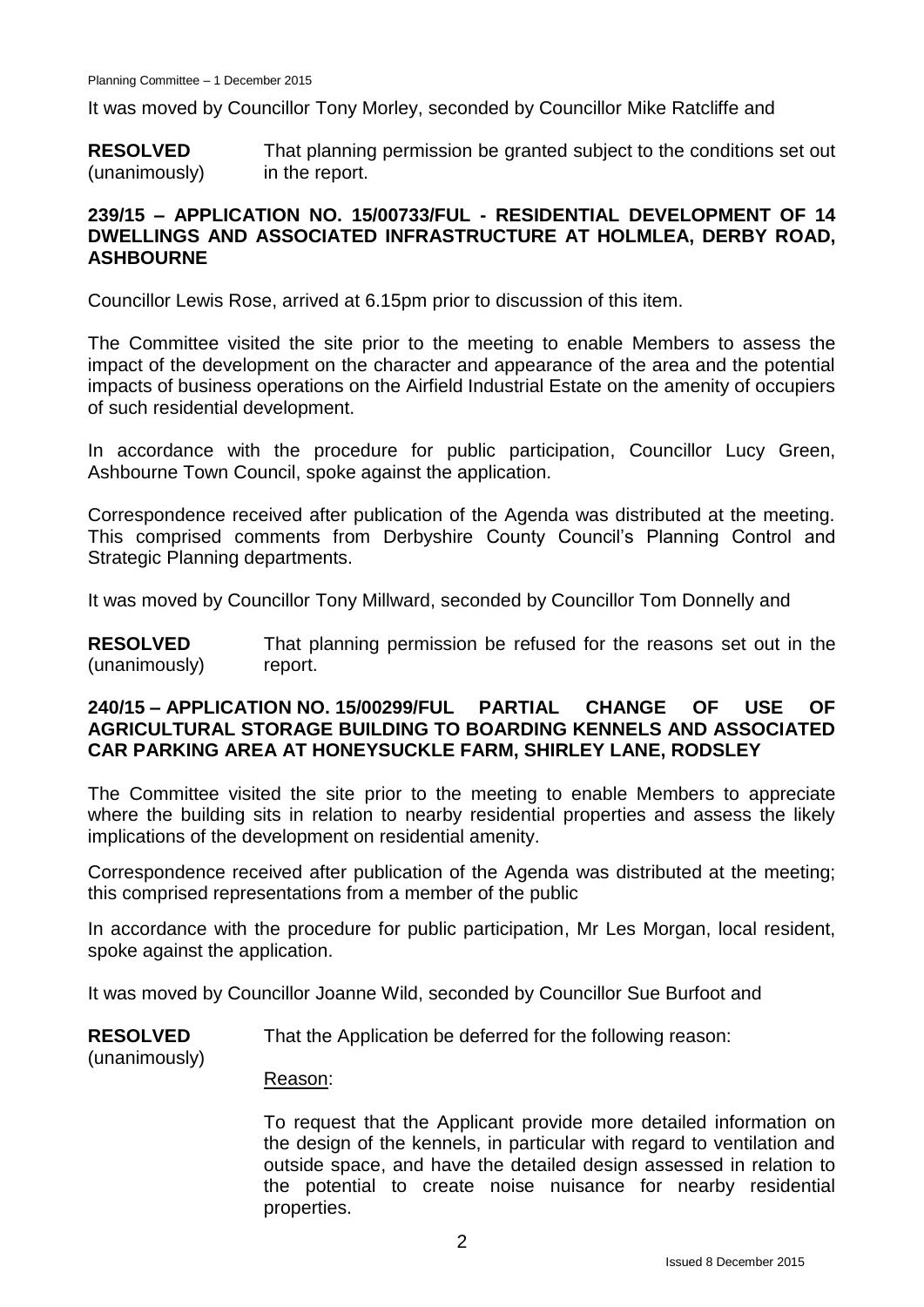It was moved by Councillor Tony Morley, seconded by Councillor Mike Ratcliffe and

**RESOLVED** (unanimously) That planning permission be granted subject to the conditions set out in the report.

### **239/15 – APPLICATION NO. 15/00733/FUL - RESIDENTIAL DEVELOPMENT OF 14 DWELLINGS AND ASSOCIATED INFRASTRUCTURE AT HOLMLEA, DERBY ROAD, ASHBOURNE**

Councillor Lewis Rose, arrived at 6.15pm prior to discussion of this item.

The Committee visited the site prior to the meeting to enable Members to assess the impact of the development on the character and appearance of the area and the potential impacts of business operations on the Airfield Industrial Estate on the amenity of occupiers of such residential development.

In accordance with the procedure for public participation, Councillor Lucy Green, Ashbourne Town Council, spoke against the application.

Correspondence received after publication of the Agenda was distributed at the meeting. This comprised comments from Derbyshire County Council's Planning Control and Strategic Planning departments.

It was moved by Councillor Tony Millward, seconded by Councillor Tom Donnelly and

**RESOLVED** (unanimously) That planning permission be refused for the reasons set out in the report.

### **240/15 – APPLICATION NO. 15/00299/FUL PARTIAL CHANGE OF USE OF AGRICULTURAL STORAGE BUILDING TO BOARDING KENNELS AND ASSOCIATED CAR PARKING AREA AT HONEYSUCKLE FARM, SHIRLEY LANE, RODSLEY**

The Committee visited the site prior to the meeting to enable Members to appreciate where the building sits in relation to nearby residential properties and assess the likely implications of the development on residential amenity.

Correspondence received after publication of the Agenda was distributed at the meeting; this comprised representations from a member of the public

In accordance with the procedure for public participation, Mr Les Morgan, local resident, spoke against the application.

It was moved by Councillor Joanne Wild, seconded by Councillor Sue Burfoot and

**RESOLVED** That the Application be deferred for the following reason:

(unanimously)

Reason:

To request that the Applicant provide more detailed information on the design of the kennels, in particular with regard to ventilation and outside space, and have the detailed design assessed in relation to the potential to create noise nuisance for nearby residential properties.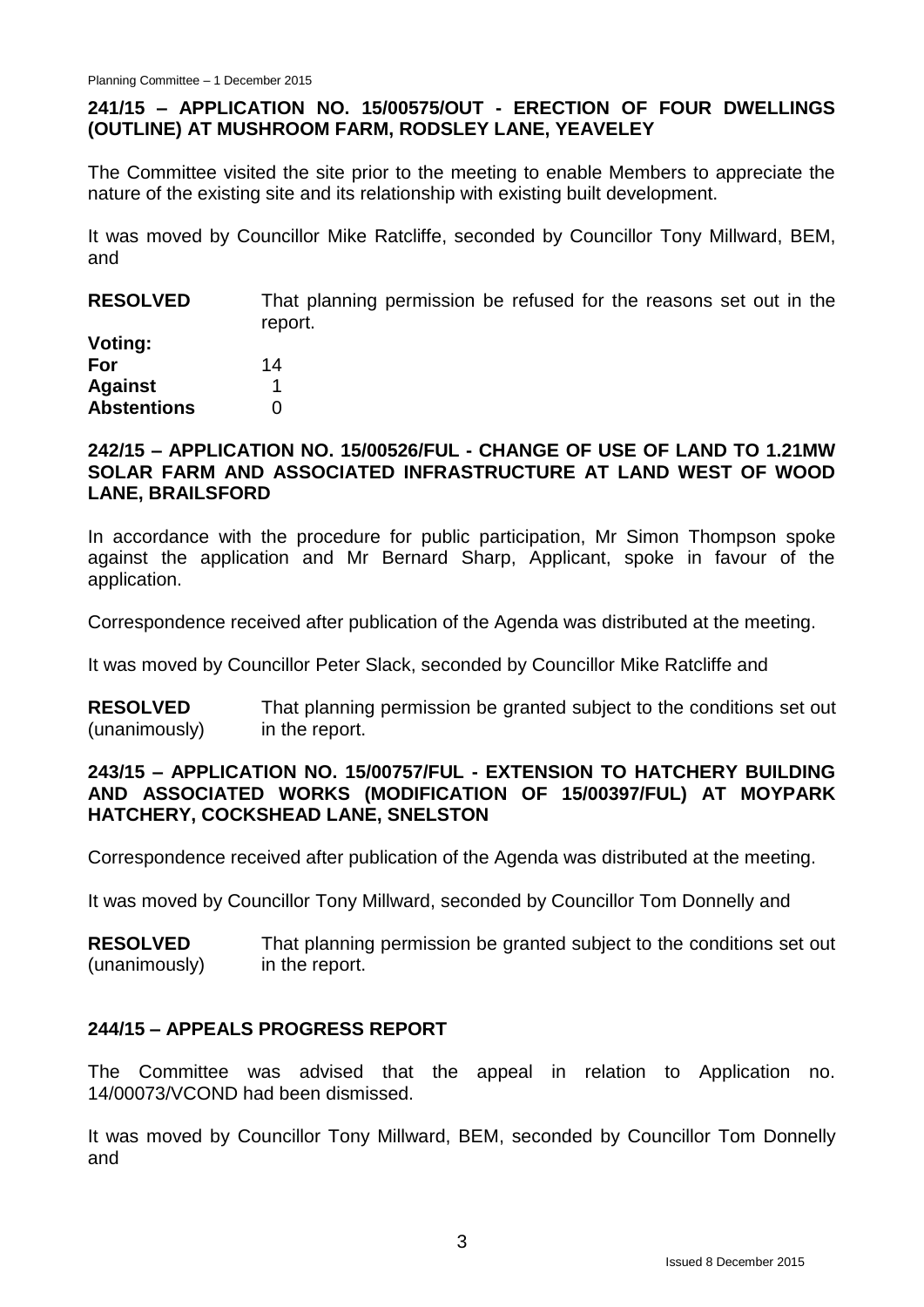# **241/15 – APPLICATION NO. 15/00575/OUT - ERECTION OF FOUR DWELLINGS (OUTLINE) AT MUSHROOM FARM, RODSLEY LANE, YEAVELEY**

The Committee visited the site prior to the meeting to enable Members to appreciate the nature of the existing site and its relationship with existing built development.

It was moved by Councillor Mike Ratcliffe, seconded by Councillor Tony Millward, BEM, and

| <b>RESOLVED</b>    | That planning permission be refused for the reasons set out in the<br>report. |
|--------------------|-------------------------------------------------------------------------------|
| Voting:            |                                                                               |
| For                | 14                                                                            |
| <b>Against</b>     |                                                                               |
| <b>Abstentions</b> |                                                                               |

#### **242/15 – APPLICATION NO. 15/00526/FUL - CHANGE OF USE OF LAND TO 1.21MW SOLAR FARM AND ASSOCIATED INFRASTRUCTURE AT LAND WEST OF WOOD LANE, BRAILSFORD**

In accordance with the procedure for public participation, Mr Simon Thompson spoke against the application and Mr Bernard Sharp, Applicant, spoke in favour of the application.

Correspondence received after publication of the Agenda was distributed at the meeting.

It was moved by Councillor Peter Slack, seconded by Councillor Mike Ratcliffe and

**RESOLVED** (unanimously) That planning permission be granted subject to the conditions set out in the report.

#### **243/15 – APPLICATION NO. 15/00757/FUL - EXTENSION TO HATCHERY BUILDING AND ASSOCIATED WORKS (MODIFICATION OF 15/00397/FUL) AT MOYPARK HATCHERY, COCKSHEAD LANE, SNELSTON**

Correspondence received after publication of the Agenda was distributed at the meeting.

It was moved by Councillor Tony Millward, seconded by Councillor Tom Donnelly and

**RESOLVED** (unanimously) That planning permission be granted subject to the conditions set out in the report.

# **244/15 – APPEALS PROGRESS REPORT**

The Committee was advised that the appeal in relation to Application no. 14/00073/VCOND had been dismissed.

It was moved by Councillor Tony Millward, BEM, seconded by Councillor Tom Donnelly and